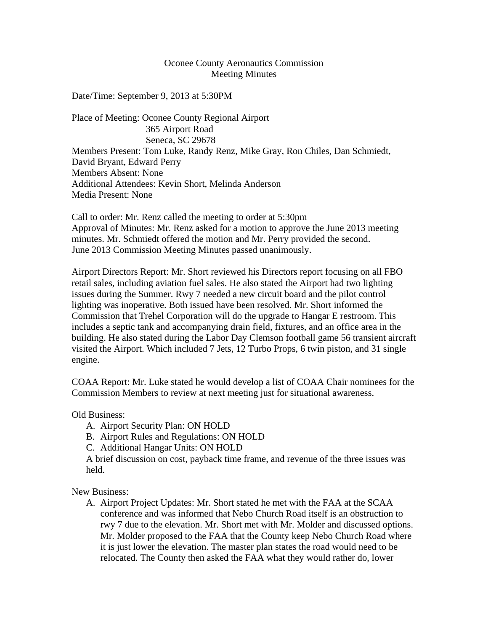## Oconee County Aeronautics Commission Meeting Minutes

Date/Time: September 9, 2013 at 5:30PM

Place of Meeting: Oconee County Regional Airport 365 Airport Road Seneca, SC 29678 Members Present: Tom Luke, Randy Renz, Mike Gray, Ron Chiles, Dan Schmiedt, David Bryant, Edward Perry Members Absent: None Additional Attendees: Kevin Short, Melinda Anderson Media Present: None

Call to order: Mr. Renz called the meeting to order at 5:30pm Approval of Minutes: Mr. Renz asked for a motion to approve the June 2013 meeting minutes. Mr. Schmiedt offered the motion and Mr. Perry provided the second. June 2013 Commission Meeting Minutes passed unanimously.

Airport Directors Report: Mr. Short reviewed his Directors report focusing on all FBO retail sales, including aviation fuel sales. He also stated the Airport had two lighting issues during the Summer. Rwy 7 needed a new circuit board and the pilot control lighting was inoperative. Both issued have been resolved. Mr. Short informed the Commission that Trehel Corporation will do the upgrade to Hangar E restroom. This includes a septic tank and accompanying drain field, fixtures, and an office area in the building. He also stated during the Labor Day Clemson football game 56 transient aircraft visited the Airport. Which included 7 Jets, 12 Turbo Props, 6 twin piston, and 31 single engine.

COAA Report: Mr. Luke stated he would develop a list of COAA Chair nominees for the Commission Members to review at next meeting just for situational awareness.

Old Business:

- A. Airport Security Plan: ON HOLD
- B. Airport Rules and Regulations: ON HOLD
- C. Additional Hangar Units: ON HOLD

A brief discussion on cost, payback time frame, and revenue of the three issues was held.

New Business:

A. Airport Project Updates: Mr. Short stated he met with the FAA at the SCAA conference and was informed that Nebo Church Road itself is an obstruction to rwy 7 due to the elevation. Mr. Short met with Mr. Molder and discussed options. Mr. Molder proposed to the FAA that the County keep Nebo Church Road where it is just lower the elevation. The master plan states the road would need to be relocated. The County then asked the FAA what they would rather do, lower